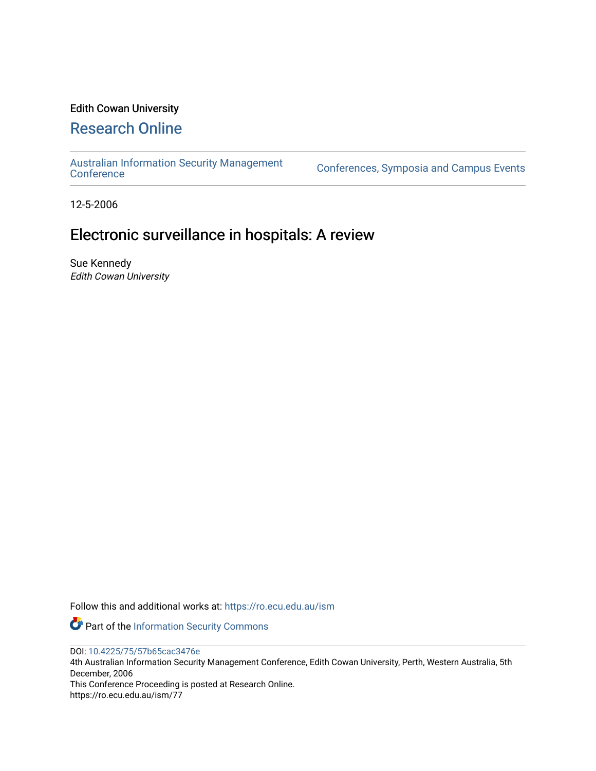# Edith Cowan University

# [Research Online](https://ro.ecu.edu.au/)

[Australian Information Security Management](https://ro.ecu.edu.au/ism) 

[Conference](https://ro.ecu.edu.au/ism)s, Symposia and Campus Events

12-5-2006

# Electronic surveillance in hospitals: A review

Sue Kennedy Edith Cowan University

Follow this and additional works at: [https://ro.ecu.edu.au/ism](https://ro.ecu.edu.au/ism?utm_source=ro.ecu.edu.au%2Fism%2F77&utm_medium=PDF&utm_campaign=PDFCoverPages) 

Part of the [Information Security Commons](http://network.bepress.com/hgg/discipline/1247?utm_source=ro.ecu.edu.au%2Fism%2F77&utm_medium=PDF&utm_campaign=PDFCoverPages) 

DOI: [10.4225/75/57b65cac3476e](https://doi.org/10.4225/75/57b65cac3476e) 

4th Australian Information Security Management Conference, Edith Cowan University, Perth, Western Australia, 5th December, 2006

This Conference Proceeding is posted at Research Online. https://ro.ecu.edu.au/ism/77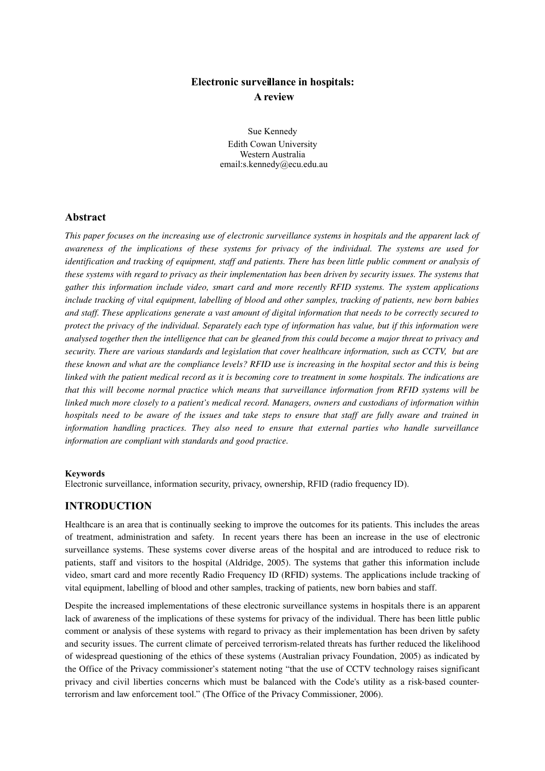# **Electronic surveillance in hospitals: A review**

Sue Kennedy Edith Cowan University Western Australia email:s.kennedy@ecu.edu.au

## **Abstract**

This paper focuses on the increasing use of electronic surveillance systems in hospitals and the apparent lack of *awareness of the implications of these systems for privacy of the individual. The systems are used for* identification and tracking of equipment, staff and patients. There has been little public comment or analysis of *these systems with regard to privacy as their implementation has been driven by security issues. The systems that gather this information include video, smart card and more recently RFID systems. The system applications* include tracking of vital equipment, labelling of blood and other samples, tracking of patients, new born babies and staff. These applications generate a vast amount of digital information that needs to be correctly secured to protect the privacy of the individual. Separately each type of information has value, but if this information were *analysed together then the intelligence that can be gleaned from this could become a major threat to privacy and security. There are various standards and legislation that cover healthcare information, such as CCTV, but are* these known and what are the compliance levels? RFID use is increasing in the hospital sector and this is being linked with the patient medical record as it is becoming core to treatment in some hospitals. The indications are *that this will become normal practice which means that surveillance information from RFID systems will be linked much more closely to a patient's medical record. Managers, owners and custodians of information within* hospitals need to be aware of the issues and take steps to ensure that staff are fully aware and trained in *information handling practices. They also need to ensure that external parties who handle surveillance information are compliant with standards and good practice.*

#### **Keywords**

Electronic surveillance, information security, privacy, ownership, RFID (radio frequency ID).

### **INTRODUCTION**

Healthcare is an area that is continually seeking to improve the outcomes for its patients. This includes the areas of treatment, administration and safety. In recent years there has been an increase in the use of electronic surveillance systems. These systems cover diverse areas of the hospital and are introduced to reduce risk to patients, staff and visitors to the hospital (Aldridge, 2005). The systems that gather this information include video, smart card and more recently Radio Frequency ID (RFID) systems. The applications include tracking of vital equipment, labelling of blood and other samples, tracking of patients, new born babies and staff.

Despite the increased implementations of these electronic surveillance systems in hospitals there is an apparent lack of awareness of the implications of these systems for privacy of the individual. There has been little public comment or analysis of these systems with regard to privacy as their implementation has been driven by safety and security issues. The current climate of perceived terrorismrelated threats has further reduced the likelihood of widespread questioning of the ethics of these systems (Australian privacy Foundation, 2005) as indicated by the Office of the Privacy commissioner's statement noting "that the use of CCTV technology raises significant privacy and civil liberties concerns which must be balanced with the Code's utility as a riskbased counterterrorism and law enforcement tool." (The Office of the Privacy Commissioner, 2006).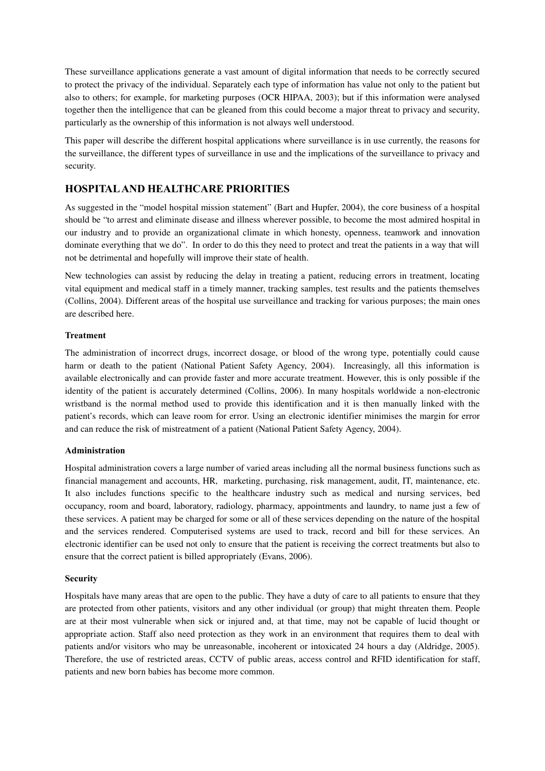These surveillance applications generate a vast amount of digital information that needs to be correctly secured to protect the privacy of the individual. Separately each type of information has value not only to the patient but also to others; for example, for marketing purposes (OCR HIPAA, 2003); but if this information were analysed together then the intelligence that can be gleaned from this could become a major threat to privacy and security, particularly as the ownership of this information is not always well understood.

This paper will describe the different hospital applications where surveillance is in use currently, the reasons for the surveillance, the different types of surveillance in use and the implications of the surveillance to privacy and security.

# **HOSPITALAND HEALTHCARE PRIORITIES**

As suggested in the "model hospital mission statement" (Bart and Hupfer, 2004), the core business of a hospital should be "to arrest and eliminate disease and illness wherever possible, to become the most admired hospital in our industry and to provide an organizational climate in which honesty, openness, teamwork and innovation dominate everything that we do". In order to do this they need to protect and treat the patients in a way that will not be detrimental and hopefully will improve their state of health.

New technologies can assist by reducing the delay in treating a patient, reducing errors in treatment, locating vital equipment and medical staff in a timely manner, tracking samples, test results and the patients themselves (Collins, 2004). Different areas of the hospital use surveillance and tracking for various purposes; the main ones are described here.

#### **Treatment**

The administration of incorrect drugs, incorrect dosage, or blood of the wrong type, potentially could cause harm or death to the patient (National Patient Safety Agency, 2004). Increasingly, all this information is available electronically and can provide faster and more accurate treatment. However, this is only possible if the identity of the patient is accurately determined (Collins, 2006). In many hospitals worldwide a nonelectronic wristband is the normal method used to provide this identification and it is then manually linked with the patient's records, which can leave room for error. Using an electronic identifier minimises the margin for error and can reduce the risk of mistreatment of a patient (National Patient Safety Agency, 2004).

#### **Administration**

Hospital administration covers a large number of varied areas including all the normal business functions such as financial management and accounts, HR, marketing, purchasing, risk management, audit, IT, maintenance, etc. It also includes functions specific to the healthcare industry such as medical and nursing services, bed occupancy, room and board, laboratory, radiology, pharmacy, appointments and laundry, to name just a few of these services. A patient may be charged for some or all of these services depending on the nature of the hospital and the services rendered. Computerised systems are used to track, record and bill for these services. An electronic identifier can be used not only to ensure that the patient is receiving the correct treatments but also to ensure that the correct patient is billed appropriately (Evans, 2006).

#### **Security**

Hospitals have many areas that are open to the public. They have a duty of care to all patients to ensure that they are protected from other patients, visitors and any other individual (or group) that might threaten them. People are at their most vulnerable when sick or injured and, at that time, may not be capable of lucid thought or appropriate action. Staff also need protection as they work in an environment that requires them to deal with patients and/or visitors who may be unreasonable, incoherent or intoxicated 24 hours a day (Aldridge, 2005). Therefore, the use of restricted areas, CCTV of public areas, access control and RFID identification for staff, patients and new born babies has become more common.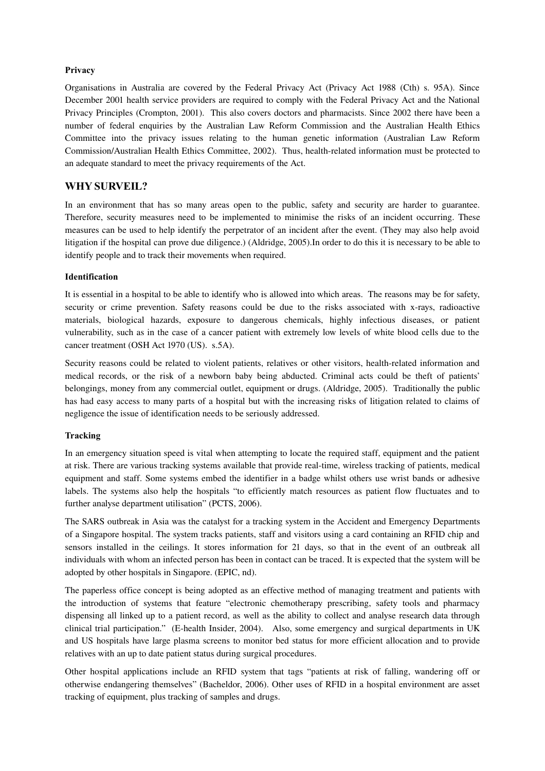#### **Privacy**

Organisations in Australia are covered by the Federal Privacy Act (Privacy Act 1988 (Cth) s. 95A). Since December 2001 health service providers are required to comply with the Federal Privacy Act and the National Privacy Principles (Crompton, 2001). This also covers doctors and pharmacists. Since 2002 there have been a number of federal enquiries by the Australian Law Reform Commission and the Australian Health Ethics Committee into the privacy issues relating to the human genetic information (Australian Law Reform Commission/Australian Health Ethics Committee, 2002). Thus, health-related information must be protected to an adequate standard to meet the privacy requirements of the Act.

## **WHY SURVEIL?**

In an environment that has so many areas open to the public, safety and security are harder to guarantee. Therefore, security measures need to be implemented to minimise the risks of an incident occurring. These measures can be used to help identify the perpetrator of an incident after the event. (They may also help avoid litigation if the hospital can prove due diligence.) (Aldridge, 2005).In order to do this it is necessary to be able to identify people and to track their movements when required.

### **Identification**

It is essential in a hospital to be able to identify who is allowed into which areas. The reasons may be for safety, security or crime prevention. Safety reasons could be due to the risks associated with x-rays, radioactive materials, biological hazards, exposure to dangerous chemicals, highly infectious diseases, or patient vulnerability, such as in the case of a cancer patient with extremely low levels of white blood cells due to the cancer treatment (OSH Act 1970 (US). s.5A).

Security reasons could be related to violent patients, relatives or other visitors, health-related information and medical records, or the risk of a newborn baby being abducted. Criminal acts could be theft of patients' belongings, money from any commercial outlet, equipment or drugs. (Aldridge, 2005). Traditionally the public has had easy access to many parts of a hospital but with the increasing risks of litigation related to claims of negligence the issue of identification needs to be seriously addressed.

#### **Tracking**

In an emergency situation speed is vital when attempting to locate the required staff, equipment and the patient at risk. There are various tracking systems available that provide real-time, wireless tracking of patients, medical equipment and staff. Some systems embed the identifier in a badge whilst others use wrist bands or adhesive labels. The systems also help the hospitals "to efficiently match resources as patient flow fluctuates and to further analyse department utilisation" (PCTS, 2006).

The SARS outbreak in Asia was the catalyst for a tracking system in the Accident and Emergency Departments of a Singapore hospital. The system tracks patients, staff and visitors using a card containing an RFID chip and sensors installed in the ceilings. It stores information for 21 days, so that in the event of an outbreak all individuals with whom an infected person has been in contact can be traced. It is expected that the system will be adopted by other hospitals in Singapore. (EPIC, nd).

The paperless office concept is being adopted as an effective method of managing treatment and patients with the introduction of systems that feature "electronic chemotherapy prescribing, safety tools and pharmacy dispensing all linked up to a patient record, as well as the ability to collect and analyse research data through clinical trial participation." (Ehealth Insider, 2004). Also, some emergency and surgical departments in UK and US hospitals have large plasma screens to monitor bed status for more efficient allocation and to provide relatives with an up to date patient status during surgical procedures.

Other hospital applications include an RFID system that tags "patients at risk of falling, wandering off or otherwise endangering themselves" (Bacheldor, 2006). Other uses of RFID in a hospital environment are asset tracking of equipment, plus tracking of samples and drugs.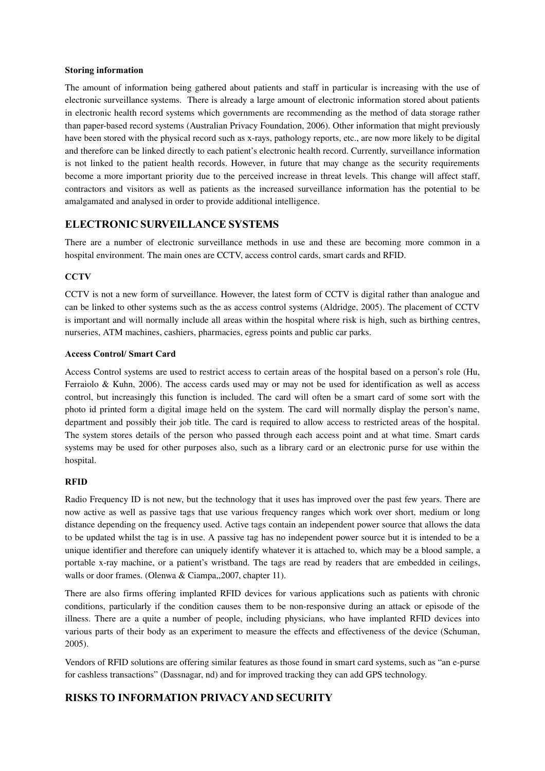#### **Storing information**

The amount of information being gathered about patients and staff in particular is increasing with the use of electronic surveillance systems. There is already a large amount of electronic information stored about patients in electronic health record systems which governments are recommending as the method of data storage rather than paperbased record systems (Australian Privacy Foundation, 2006). Other information that might previously have been stored with the physical record such as xrays, pathology reports, etc., are now more likely to be digital and therefore can be linked directly to each patient's electronic health record. Currently, surveillance information is not linked to the patient health records. However, in future that may change as the security requirements become a more important priority due to the perceived increase in threat levels. This change will affect staff, contractors and visitors as well as patients as the increased surveillance information has the potential to be amalgamated and analysed in order to provide additional intelligence.

# **ELECTRONIC SURVEILLANCE SYSTEMS**

There are a number of electronic surveillance methods in use and these are becoming more common in a hospital environment. The main ones are CCTV, access control cards, smart cards and RFID.

## **CCTV**

CCTV is not a new form of surveillance. However, the latest form of CCTV is digital rather than analogue and can be linked to other systems such as the as access control systems (Aldridge, 2005). The placement of CCTV is important and will normally include all areas within the hospital where risk is high, such as birthing centres, nurseries, ATM machines, cashiers, pharmacies, egress points and public car parks.

#### **Access Control/ Smart Card**

Access Control systems are used to restrict access to certain areas of the hospital based on a person's role (Hu, Ferraiolo & Kuhn, 2006). The access cards used may or may not be used for identification as well as access control, but increasingly this function is included. The card will often be a smart card of some sort with the photo id printed form a digital image held on the system. The card will normally display the person's name, department and possibly their job title. The card is required to allow access to restricted areas of the hospital. The system stores details of the person who passed through each access point and at what time. Smart cards systems may be used for other purposes also, such as a library card or an electronic purse for use within the hospital.

#### **RFID**

Radio Frequency ID is not new, but the technology that it uses has improved over the past few years. There are now active as well as passive tags that use various frequency ranges which work over short, medium or long distance depending on the frequency used. Active tags contain an independent power source that allows the data to be updated whilst the tag is in use. A passive tag has no independent power source but it is intended to be a unique identifier and therefore can uniquely identify whatever it is attached to, which may be a blood sample, a portable x-ray machine, or a patient's wristband. The tags are read by readers that are embedded in ceilings, walls or door frames. (Olenwa & Ciampa,,2007, chapter 11).

There are also firms offering implanted RFID devices for various applications such as patients with chronic conditions, particularly if the condition causes them to be nonresponsive during an attack or episode of the illness. There are a quite a number of people, including physicians, who have implanted RFID devices into various parts of their body as an experiment to measure the effects and effectiveness of the device (Schuman, 2005).

Vendors of RFID solutions are offering similar features as those found in smart card systems, such as "an epurse for cashless transactions" (Dassnagar, nd) and for improved tracking they can add GPS technology.

## **RISKS TO INFORMATION PRIVACYAND SECURITY**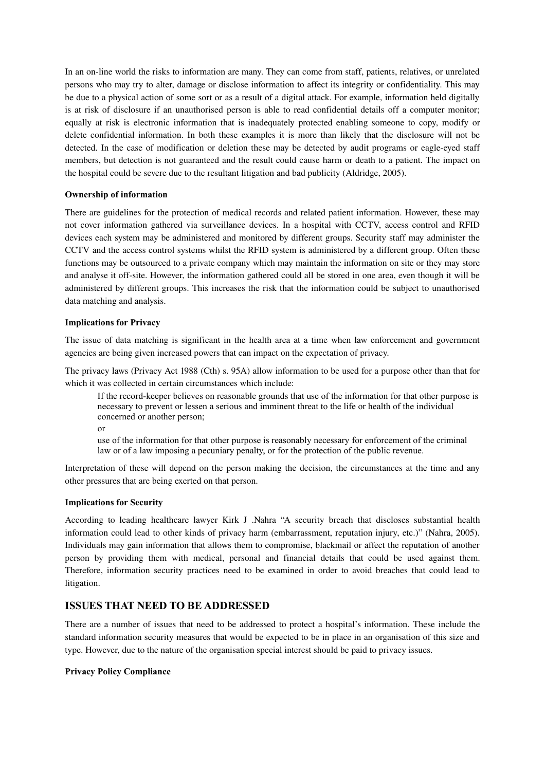In an on-line world the risks to information are many. They can come from staff, patients, relatives, or unrelated persons who may try to alter, damage or disclose information to affect its integrity or confidentiality. This may be due to a physical action of some sort or as a result of a digital attack. For example, information held digitally is at risk of disclosure if an unauthorised person is able to read confidential details off a computer monitor; equally at risk is electronic information that is inadequately protected enabling someone to copy, modify or delete confidential information. In both these examples it is more than likely that the disclosure will not be detected. In the case of modification or deletion these may be detected by audit programs or eagle-eyed staff members, but detection is not guaranteed and the result could cause harm or death to a patient. The impact on the hospital could be severe due to the resultant litigation and bad publicity (Aldridge, 2005).

#### **Ownership of information**

There are guidelines for the protection of medical records and related patient information. However, these may not cover information gathered via surveillance devices. In a hospital with CCTV, access control and RFID devices each system may be administered and monitored by different groups. Security staff may administer the CCTV and the access control systems whilst the RFID system is administered by a different group. Often these functions may be outsourced to a private company which may maintain the information on site or they may store and analyse it off-site. However, the information gathered could all be stored in one area, even though it will be administered by different groups. This increases the risk that the information could be subject to unauthorised data matching and analysis.

#### **Implications for Privacy**

The issue of data matching is significant in the health area at a time when law enforcement and government agencies are being given increased powers that can impact on the expectation of privacy.

The privacy laws (Privacy Act 1988 (Cth) s. 95A) allow information to be used for a purpose other than that for which it was collected in certain circumstances which include:

If the record-keeper believes on reasonable grounds that use of the information for that other purpose is necessary to prevent or lessen a serious and imminent threat to the life or health of the individual concerned or another person;

or

use of the information for that other purpose is reasonably necessary for enforcement of the criminal law or of a law imposing a pecuniary penalty, or for the protection of the public revenue.

Interpretation of these will depend on the person making the decision, the circumstances at the time and any other pressures that are being exerted on that person.

#### **Implications for Security**

According to leading healthcare lawyer Kirk J .Nahra "A security breach that discloses substantial health information could lead to other kinds of privacy harm (embarrassment, reputation injury, etc.)" (Nahra, 2005). Individuals may gain information that allows them to compromise, blackmail or affect the reputation of another person by providing them with medical, personal and financial details that could be used against them. Therefore, information security practices need to be examined in order to avoid breaches that could lead to litigation.

## **ISSUES THAT NEED TO BE ADDRESSED**

There are a number of issues that need to be addressed to protect a hospital's information. These include the standard information security measures that would be expected to be in place in an organisation of this size and type. However, due to the nature of the organisation special interest should be paid to privacy issues.

#### **Privacy Policy Compliance**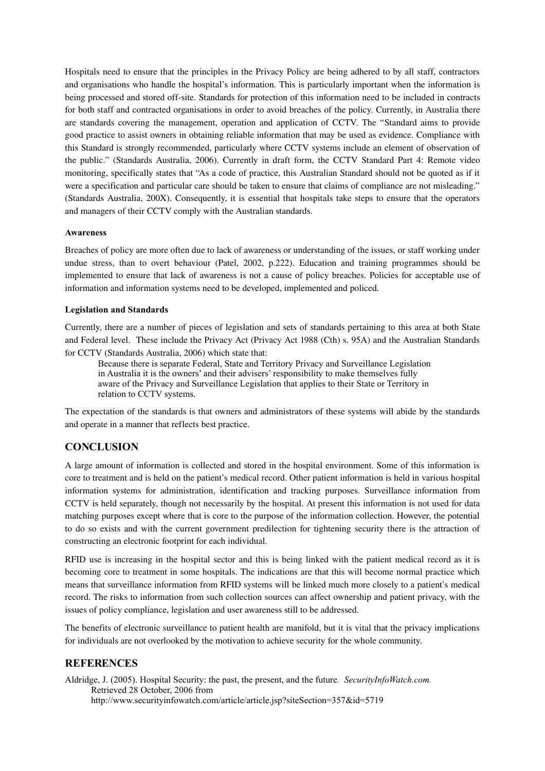Hospitals need to ensure that the principles in the Privacy Policy are being adhered to by all staff, contractors and organisations who handle the hospital's information. This is particularly important when the information is being processed and stored off-site. Standards for protection of this information need to be included in contracts for both staff and contracted organisations in order to avoid breaches of the policy. Currently, in Australia there are standards covering the management, operation and application of CCTV. The "Standard aims to provide good practice to assist owners in obtaining reliable information that may be used as evidence. Compliance with this Standard is strongly recommended, particularly where CCTV systems include an element of observation of the public." (Standards Australia, 2006). Currently in draft form, the CCTV Standard Part 4: Remote video monitoring, specifically states that "As a code of practice, this Australian Standard should not be quoted as if it were a specification and particular care should be taken to ensure that claims of compliance are not misleading." (Standards Australia, 200X). Consequently, it is essential that hospitals take steps to ensure that the operators and managers of their CCTV comply with the Australian standards.

#### **Awareness**

Breaches of policy are more often due to lack of awareness or understanding of the issues, or staff working under undue stress, than to overt behaviour (Patel, 2002, p.222). Education and training programmes should be implemented to ensure that lack of awareness is not a cause of policy breaches. Policies for acceptable use of information and information systems need to be developed, implemented and policed.

#### **Legislation and Standards**

Currently, there are a number of pieces of legislation and sets of standards pertaining to this area at both State and Federal level. These include the Privacy Act (Privacy Act 1988 (Cth) s. 95A) and the Australian Standards for CCTV (Standards Australia, 2006) which state that:

Because there is separate Federal, State and Territory Privacy and Surveillance Legislation in Australia it is the owners' and their advisers' responsibility to make themselves fully aware of the Privacy and Surveillance Legislation that applies to their State or Territory in relation to CCTV systems.

The expectation of the standards is that owners and administrators of these systems will abide by the standards and operate in a manner that reflects best practice.

## **CONCLUSION**

A large amount of information is collected and stored in the hospital environment. Some of this information is core to treatment and is held on the patient's medical record. Other patient information is held in various hospital information systems for administration, identification and tracking purposes. Surveillance information from CCTV is held separately, though not necessarily by the hospital. At present this information is not used for data matching purposes except where that is core to the purpose of the information collection. However, the potential to do so exists and with the current government predilection for tightening security there is the attraction of constructing an electronic footprint for each individual.

RFID use is increasing in the hospital sector and this is being linked with the patient medical record as it is becoming core to treatment in some hospitals. The indications are that this will become normal practice which means that surveillance information from RFID systems will be linked much more closely to a patient's medical record. The risks to information from such collection sources can affect ownership and patient privacy, with the issues of policy compliance, legislation and user awareness still to be addressed.

The benefits of electronic surveillance to patient health are manifold, but it is vital that the privacy implications for individuals are not overlooked by the motivation to achieve security for the whole community.

## **REFERENCES**

Aldridge, J. (2005). Hospital Security: the past, the present, and the future*. SecurityInfoWatch.com.* Retrieved 28 October, 2006 from http://www.securityinfowatch.com/article/article.jsp?siteSection=357&id=5719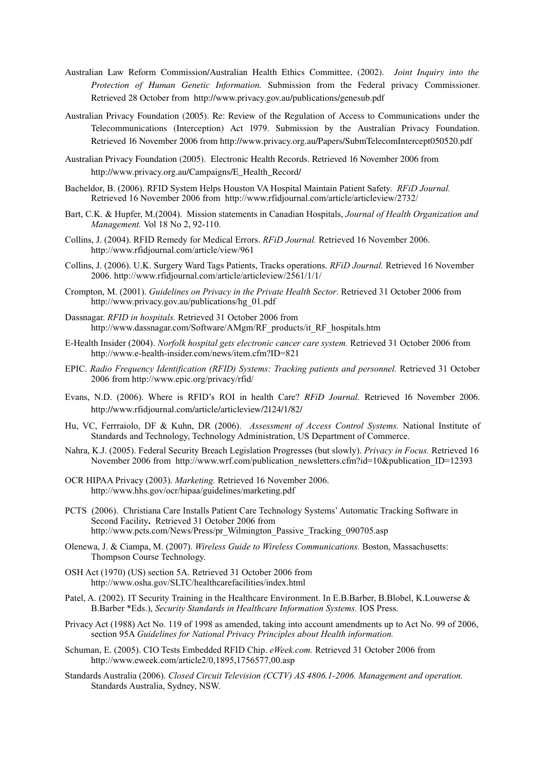- Australian Law Reform Commission/Australian Health Ethics Committee, (2002). *Joint Inquiry into the Protection of Human Genetic Information.* Submission from the Federal privacy Commissioner. Retrieved 28 October from http://www.privacy.gov.au/publications/genesub.pdf
- Australian Privacy Foundation (2005). Re: Review of the Regulation of Access to Communications under the Telecommunications (Interception) Act 1979. Submission by the Australian Privacy Foundation. Retrieved 16 November 2006 from http://www.privacy.org.au/Papers/SubmTelecomIntercept050520.pdf
- Australian Privacy Foundation (2005). Electronic Health Records. Retrieved 16 November 2006 from http://www.privacy.org.au/Campaigns/E\_Health\_Record/
- Bacheldor, B. (2006). RFID System Helps Houston VA Hospital Maintain Patient Safety. *RFiD Journal.* Retrieved 16 November 2006 from http://www.rfidjournal.com/article/articleview/2732/
- Bart, C.K. & Hupfer, M.(2004). Mission statements in Canadian Hospitals, *Journal of Health Organization and Management.* Vol 18 No 2, 92-110.
- Collins, J. (2004). RFID Remedy for Medical Errors. *RFiD Journal.* Retrieved 16 November 2006. http://www.rfidjournal.com/article/view/961
- Collins, J. (2006). U.K. Surgery Ward Tags Patients, Tracks operations. *RFiD Journal.* Retrieved 16 November 2006. http://www.rfidjournal.com/article/articleview/2561/1/1/
- Crompton, M. (2001). *Guidelines on Privacy in the Private Health Sector*. Retrieved 31 October 2006 from http://www.privacy.gov.au/publications/hg\_01.pdf
- Dassnagar. *RFID in hospitals.* Retrieved 31 October 2006 from http://www.dassnagar.com/Software/AMgm/RF\_products/it\_RF\_hospitals.htm
- E-Health Insider (2004). *Norfolk hospital gets electronic cancer care system.* Retrieved 31 October 2006 from http://www.e-health-insider.com/news/item.cfm?ID=821
- EPIC. *Radio Frequency Identification (RFID) Systems: Tracking patients and personnel.* Retrieved 31 October 2006 from http://www.epic.org/privacy/rfid/
- Evans, N.D. (2006). Where is RFID's ROI in health Care? *RFiD Journal.* Retrieved 16 November 2006. http://www.rfidjournal.com/article/articleview/2124/1/82/
- Hu, VC, Ferrraiolo, DF & Kuhn, DR (2006). *Assessment of Access Control Systems.* National Institute of Standards and Technology, Technology Administration, US Department of Commerce.
- Nahra, K.J. (2005). Federal Security Breach Legislation Progresses (but slowly). *Privacy in Focus.* Retrieved 16 November 2006 from http://www.wrf.com/publication\_newsletters.cfm?id=10&publication\_ID=12393
- OCR HIPAA Privacy (2003). *Marketing.* Retrieved 16 November 2006. http://www.hhs.gov/ocr/hipaa/guidelines/marketing.pdf
- PCTS (2006). Christiana Care Installs Patient Care Technology Systems' Automatic Tracking Software in Second Facility**.** Retrieved 31 October 2006 from http://www.pcts.com/News/Press/pr\_Wilmington\_Passive\_Tracking\_090705.asp
- Olenewa, J. & Ciampa, M. (2007). *Wireless Guide to Wireless Communications.* Boston, Massachusetts: Thompson Course Technology.
- OSH Act (1970) (US) section 5A. Retrieved 31 October 2006 from http://www.osha.gov/SLTC/healthcarefacilities/index.html
- Patel, A. (2002). IT Security Training in the Healthcare Environment. In E.B.Barber, B.Blobel, K.Louwerse & B.Barber \*Eds.), *Security Standards in Healthcare Information Systems.* IOS Press.
- Privacy Act (1988) Act No. 119 of 1998 as amended, taking into account amendments up to Act No. 99 of 2006, section 95A *Guidelines for National Privacy Principles about Health information.*
- Schuman, E. (2005). CIO Tests Embedded RFID Chip. *eWeek.com.* Retrieved 31 October 2006 from http://www.eweek.com/article2/0,1895,1756577,00.asp
- Standards Australia (2006). *Closed Circuit Television (CCTV) AS 4806.1-2006. Management and operation.* Standards Australia, Sydney, NSW.